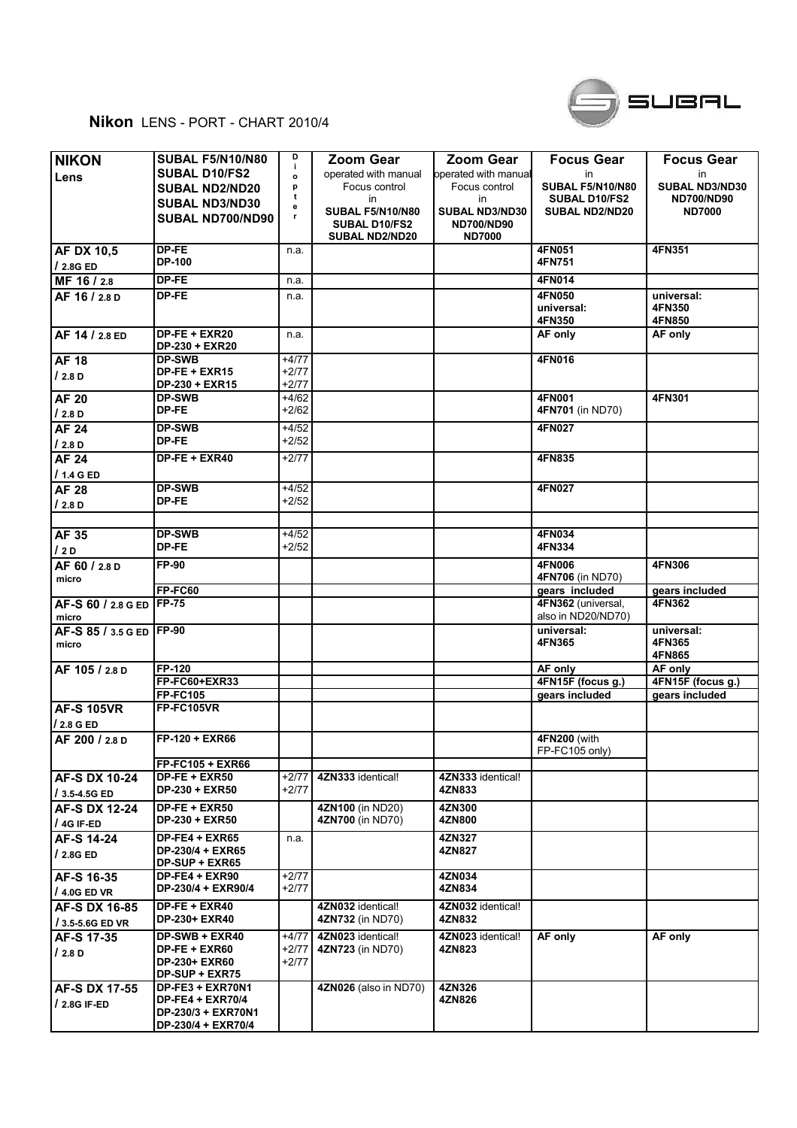

## **Nikon** LENS - PORT - CHART 2010/4

|                       | <b>SUBAL F5/N10/N80</b>                     | D                  | <b>Zoom Gear</b>                      | <b>Zoom Gear</b>                               |                               |                       |
|-----------------------|---------------------------------------------|--------------------|---------------------------------------|------------------------------------------------|-------------------------------|-----------------------|
| <b>NIKON</b>          |                                             | j.                 |                                       |                                                | <b>Focus Gear</b>             | <b>Focus Gear</b>     |
| Lens                  | <b>SUBAL D10/FS2</b>                        | o                  | operated with manual<br>Focus control | <b>l</b> operated with manual<br>Focus control | in<br><b>SUBAL F5/N10/N80</b> | in.<br>SUBAL ND3/ND30 |
|                       | <b>SUBAL ND2/ND20</b>                       | p<br>t             | in                                    | in                                             | <b>SUBAL D10/FS2</b>          | <b>ND700/ND90</b>     |
|                       | <b>SUBAL ND3/ND30</b>                       | е                  | <b>SUBAL F5/N10/N80</b>               | <b>SUBAL ND3/ND30</b>                          | <b>SUBAL ND2/ND20</b>         | <b>ND7000</b>         |
|                       | SUBAL ND700/ND90                            | r                  | SUBAL D10/FS2                         | <b>ND700/ND90</b>                              |                               |                       |
|                       |                                             |                    | <b>SUBAL ND2/ND20</b>                 | <b>ND7000</b>                                  |                               |                       |
| <b>AF DX 10,5</b>     | DP-FE                                       | n.a.               |                                       |                                                | 4FN051                        | 4FN351                |
| / 2.8G ED             | <b>DP-100</b>                               |                    |                                       |                                                | 4FN751                        |                       |
| MF 16 / 2.8           | DP-FE                                       | n.a.               |                                       |                                                | 4FN014                        |                       |
| AF 16 / 2.8 D         | DP-FE                                       | n.a.               |                                       |                                                | 4FN050                        | universal:            |
|                       |                                             |                    |                                       |                                                | universal:                    | 4FN350                |
|                       |                                             |                    |                                       |                                                | 4FN350                        | 4FN850                |
| AF 14 / 2.8 ED        | DP-FE + EXR20                               | n.a.               |                                       |                                                | AF only                       | AF only               |
|                       | DP-230 + EXR20                              |                    |                                       |                                                |                               |                       |
| <b>AF 18</b>          | <b>DP-SWB</b>                               | $+4/77$            |                                       |                                                | 4FN016                        |                       |
| /2.8D                 | DP-FE + EXR15<br>DP-230 + EXR15             | $+2/77$<br>$+2/77$ |                                       |                                                |                               |                       |
| <b>AF 20</b>          | <b>DP-SWB</b>                               | $+4/62$            |                                       |                                                | 4FN001                        | 4FN301                |
|                       | DP-FE                                       | $+2/62$            |                                       |                                                | 4FN701 (in ND70)              |                       |
| /2.8D<br><b>AF 24</b> | <b>DP-SWB</b>                               | $+4/52$            |                                       |                                                | 4FN027                        |                       |
|                       | DP-FE                                       | $+2/52$            |                                       |                                                |                               |                       |
| /2.8D                 |                                             |                    |                                       |                                                |                               |                       |
| <b>AF 24</b>          | DP-FE + EXR40                               | $+2/77$            |                                       |                                                | 4FN835                        |                       |
| / 1.4 G ED            |                                             |                    |                                       |                                                |                               |                       |
| <b>AF 28</b>          | <b>DP-SWB</b>                               | $+4/52$            |                                       |                                                | 4FN027                        |                       |
| /2.8D                 | DP-FE                                       | $+2/52$            |                                       |                                                |                               |                       |
|                       |                                             |                    |                                       |                                                |                               |                       |
| AF 35                 | <b>DP-SWB</b>                               | $+4/52$            |                                       |                                                | 4FN034                        |                       |
| 12D                   | DP-FE                                       | $+2/52$            |                                       |                                                | 4FN334                        |                       |
| AF 60 / 2.8 D         | FP-90                                       |                    |                                       |                                                | 4FN006                        | 4FN306                |
| micro                 |                                             |                    |                                       |                                                | 4FN706 (in ND70)              |                       |
|                       | <b>FP-FC60</b>                              |                    |                                       |                                                | gears included                | gears included        |
| AF-S 60 / 2.8 G ED    | <b>FP-75</b>                                |                    |                                       |                                                | 4FN362 (universal,            | 4FN362                |
| micro                 |                                             |                    |                                       |                                                | also in ND20/ND70)            |                       |
| AF-S 85 / 3.5 G ED    | <b>FP-90</b>                                |                    |                                       |                                                | universal:                    | universal:<br>4FN365  |
| micro                 |                                             |                    |                                       |                                                | 4FN365                        | 4FN865                |
| AF 105 / 2.8 D        | <b>FP-120</b>                               |                    |                                       |                                                | AF only                       | AF only               |
|                       | FP-FC60+EXR33                               |                    |                                       |                                                | 4FN15F (focus g.)             | 4FN15F (focus g.)     |
|                       | <b>FP-FC105</b>                             |                    |                                       |                                                | gears included                | gears included        |
| <b>AF-S 105VR</b>     | <b>FP-FC105VR</b>                           |                    |                                       |                                                |                               |                       |
| / 2.8 G ED            |                                             |                    |                                       |                                                |                               |                       |
| AF 200 / 2.8 D        | FP-120 + EXR66                              |                    |                                       |                                                | 4FN200 (with                  |                       |
|                       |                                             |                    |                                       |                                                | FP-FC105 only)                |                       |
|                       | <b>FP-FC105 + EXR66</b>                     |                    |                                       |                                                |                               |                       |
| AF-S DX 10-24         | $DP-FE + EXR50$                             | $+2/77$            | 4ZN333 identical!                     | 4ZN333 identical!                              |                               |                       |
| / 3.5-4.5G ED         | DP-230 + EXR50                              | +2/77              |                                       | 4ZN833                                         |                               |                       |
| AF-S DX 12-24         | DP-FE + EXR50                               |                    | 4ZN100 (in ND20)                      | 4ZN300                                         |                               |                       |
| $/4G$ IF-ED           | DP-230 + EXR50                              |                    | 4ZN700 (in ND70)                      | 4ZN800                                         |                               |                       |
| AF-S 14-24            | $DP-FE4 + EXR65$                            | n.a.               |                                       | 4ZN327                                         |                               |                       |
| / 2.8G ED             | DP-230/4 + EXR65                            |                    |                                       | 4ZN827                                         |                               |                       |
|                       | DP-SUP + EXR65                              |                    |                                       |                                                |                               |                       |
| AF-S 16-35            | DP-FE4 + EXR90                              | $+2/77$            |                                       | 4ZN034                                         |                               |                       |
| / 4.0G ED VR          | DP-230/4 + EXR90/4                          | $+2/77$            |                                       | 4ZN834                                         |                               |                       |
| AF-S DX 16-85         | $DF-FE + EXR40$                             |                    | 4ZN032 identical!                     | 4ZN032 identical!                              |                               |                       |
| / 3.5-5.6G ED VR      | <b>DP-230+ EXR40</b>                        |                    | 4ZN732 (in ND70)                      | 4ZN832                                         |                               |                       |
| AF-S 17-35            | DP-SWB + EXR40                              | +4/77              | 4ZN023 identical!                     | 4ZN023 identical!                              | AF only                       | AF only               |
| /2.8 D                | $DP-FE + EXR60$                             | $+2/77$            | 4ZN723 (in ND70)                      | 4ZN823                                         |                               |                       |
|                       | <b>DP-230+ EXR60</b>                        | $+2/77$            |                                       |                                                |                               |                       |
|                       | DP-SUP + EXR75                              |                    |                                       |                                                |                               |                       |
| AF-S DX 17-55         | DP-FE3 + EXR70N1<br><b>DP-FE4 + EXR70/4</b> |                    | 4ZN026 (also in ND70)                 | 4ZN326<br>4ZN826                               |                               |                       |
| $/2.8G$ IF-ED         | DP-230/3 + EXR70N1                          |                    |                                       |                                                |                               |                       |
|                       | DP-230/4 + EXR70/4                          |                    |                                       |                                                |                               |                       |